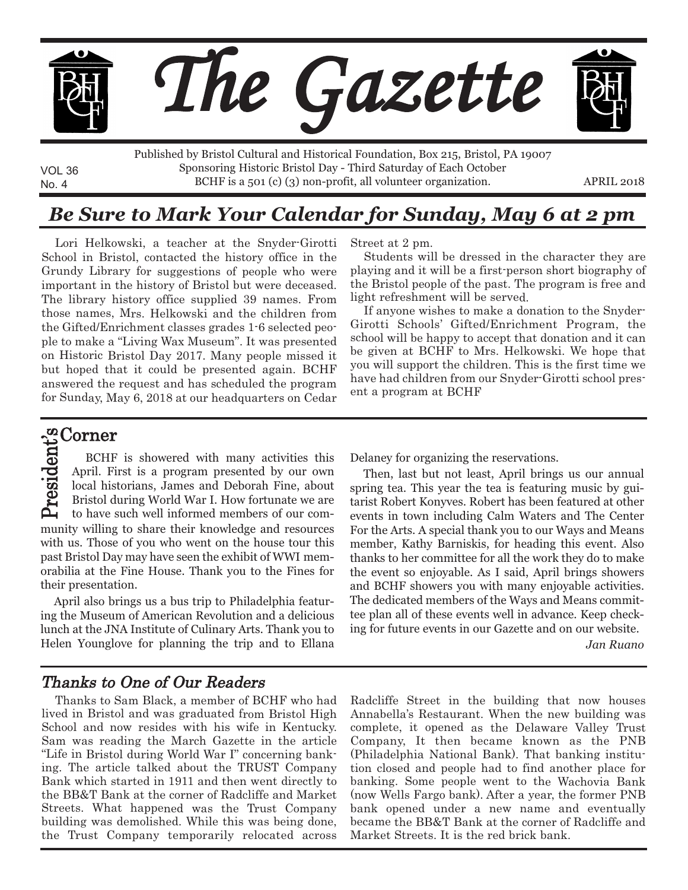

No. 4 BCHF is a 501 (c) (3) non-profit, all volunteer organization. APRIL 2018 Published by Bristol Cultural and Historical Foundation, Box 215, Bristol, PA 19007 Sponsoring Historic Bristol Day - Third Saturday of Each October

# *Be Sure to Mark Your Calendar for Sunday, May 6 at 2 pm*

Lori Helkowski, <sup>a</sup> teacher at the Snyder-Girotti School in Bristol, contacted the history office in the Grundy Library for suggestions of people who were important in the history of Bristol but were deceased. The library history office supplied 39 names. From those names, Mrs. Helkowski and the children from the Gifted/Enrichment classes grades 1-6 selected people to make <sup>a</sup> "Living Wax Museum". It was presented on Historic Bristol Day 2017. Many people missed it but hoped that it could be presented again. BCHF answered the request and has scheduled the program for Sunday, May 6, 2018 at our headquarters on Cedar Street at 2 pm.

Students will be dressed in the character they are playing and it will be <sup>a</sup> first-person short biography of the Bristol people of the past. The program is free and light refreshment will be served.

If anyone wishes to make <sup>a</sup> donation to the Snyder-Girotti Schools' Gifted/Enrichment Program, the school will be happy to accept that donation and it can be given at BCHF to Mrs. Helkowski. We hope that you will support the children. This is the first time we have had children from our Snyder-Girotti school present <sup>a</sup> program at BCHF

#### Corner t's

VOL 36

 $\blacktriangle$ r ه ي id. e  $\bf q$ munity willing to share their knowledge and resources with us. Those of you who went on the house tour this past Bristol Day may have seen the exhibit of WWI memorabilia at the Fine House. Thank you to the Fines for their presentation. BCHF is showered with many activities this April. First is a program presented by our own local historians, James and Deborah Fine, about Bristol during World War I. How fortunate we are to have such well informed members of our com-

April also brings us a bus trip to Philadelphia featuring the Museum of American Revolution and a delicious lunch at the JNA Institute of Culinary Arts. Thank you to Helen Younglove for planning the trip and to Ellana Delaney for organizing the reservations.

Then, last but not least, April brings us our annual spring tea. This year the tea is featuring music by guitarist Robert Konyves. Robert has been featured at other events in town including Calm Waters and The Center For the Arts. A special thank you to our Ways and Means member, Kathy Barniskis, for heading this event. Also thanks to her committee for all the work they do to make the event so enjoyable. As I said, April brings showers and BCHF showers you with many enjoyable activities. The dedicated members of the Ways and Means committee plan all of these events well in advance. Keep checking for future events in our Gazette and on our website.

*Jan Ruano*

### Thanks to One of Our Readers

Thanks to Sam Black, <sup>a</sup> member of BCHF who had lived in Bristol and was graduated from Bristol High School and now resides with his wife in Kentucky. Sam was reading the March Gazette in the article "Life in Bristol during World War I" concerning banking. The article talked about the TRUST Company Bank which started in 1911 and then went directly to the BB&T Bank at the corner of Radcliffe and Market Streets. What happened was the Trust Company building was demolished. While this was being done, the Trust Company temporarily relocated across Radcliffe Street in the building that now houses Annabella's Restaurant. When the new building was complete, it opened as the Delaware Valley Trust Company, It then became known as the PNB (Philadelphia National Bank). That banking institution closed and people had to find another place for banking. Some people went to the Wachovia Bank (now Wells Fargo bank). After <sup>a</sup> year, the former PNB bank opened under <sup>a</sup> new name and eventually became the BB&T Bank at the corner of Radcliffe and Market Streets. It is the red brick bank.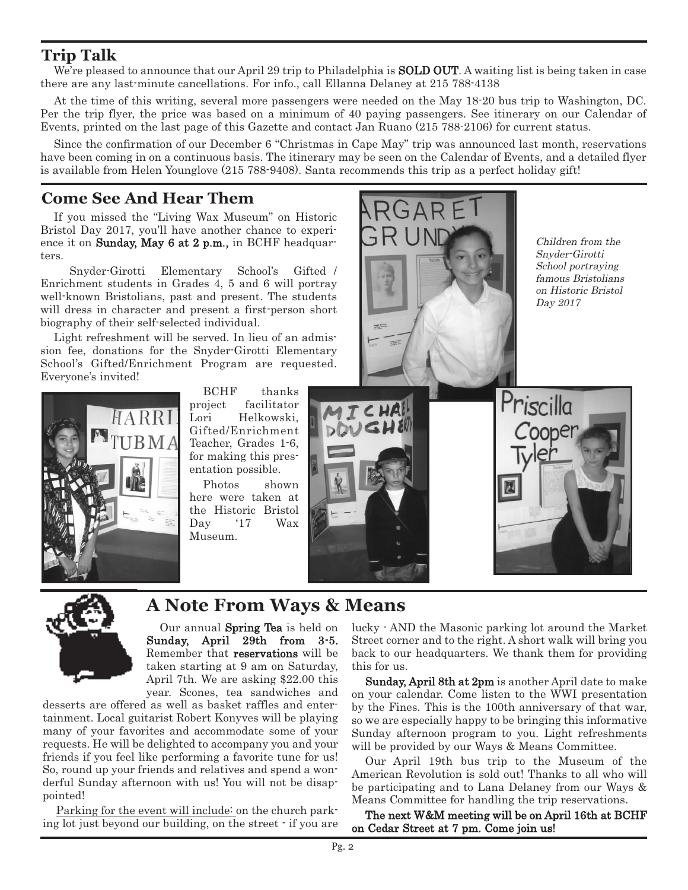## **Trip Talk**

We're pleased to announce that our April 29 trip to Philadelphia is **SOLD OUT**. A waiting list is being taken in case there are any last-minute cancellations. For info., call Ellanna Delaney at 215 788-4138

At the time of this writing, several more passengers were needed on the May 18-20 bus trip to Washington, DC. Per the trip flyer, the price was based on a minimum of 40 paying passengers. See itinerary on our Calendar of Events, printed on the last page of this Gazette and contact Jan Ruano (215 788-2106) for current status.

Since the confirmation of our December 6 "Christmas in Cape May" trip was announced last month, reservations have been coming in on a continuous basis. The itinerary may be seen on the Calendar of Events, and a detailed flyer is available from Helen Younglove (215 788-9408). Santa recommends this trip as a perfect holiday gift!

## **Come See And Hear Them**

If you missed the "Living Wax Museum" on Historic Bristol Day 2017, you'll have another chance to experience it on **Sunday, May 6 at 2 p.m.,** in BCHF headquarters.

Snyder-Girotti Elementary School's Gifted / Enrichment students in Grades 4, 5 and 6 will portray well-known Bristolians, past and present. The students will dress in character and present a first-person short biography of their self-selected individual.

Light refreshment will be served. In lieu of an admission fee, donations for the Snyder-Girotti Elementary School's Gifted/Enrichment Program are requested. Everyone's invited!



BCHF thanks project facilitator Lori Helkowski, Gifted/Enrichment Teacher, Grades 1-6, for making this presentation possible.

Photos shown here were taken at the Historic Bristol Day '17 Wax Museum.



Children from the Snyder-Girotti School portraying famous Bristolians on Historic Bristol Day 2017

ner



## **A Note From Ways & Means**

Our annual Spring Tea is held on Sunday, April 29th from 3-5. Remember that reservations will be taken starting at 9 am on Saturday, April 7th. We are asking \$22.00 this year. Scones, tea sandwiches and

desserts are offered as well as basket raffles and entertainment. Local guitarist Robert Konyves will be playing many of your favorites and accommodate some of your requests. He will be delighted to accompany you and your friends if you feel like performing a favorite tune for us! So, round up your friends and relatives and spend a wonderful Sunday afternoon with us! You will not be disappointed!

Parking for the event will include: on the church parking lot just beyond our building, on the street - if you are lucky - AND the Masonic parking lot around the Market Street corner and to the right. A short walk will bring you back to our headquarters. We thank them for providing this for us.

Sunday, April 8th at  $2pm$  is another April date to make on your calendar. Come listen to the WWI presentation by the Fines. This is the 100th anniversary of that war, so we are especially happy to be bringing this informative Sunday afternoon program to you. Light refreshments will be provided by our Ways & Means Committee.

Our April 19th bus trip to the Museum of the American Revolution is sold out! Thanks to all who will be participating and to Lana Delaney from our Ways & Means Committee for handling the trip reservations.

The next W&M meeting will be on April 16th at BCHF on Cedar Street at 7 pm. Come join us!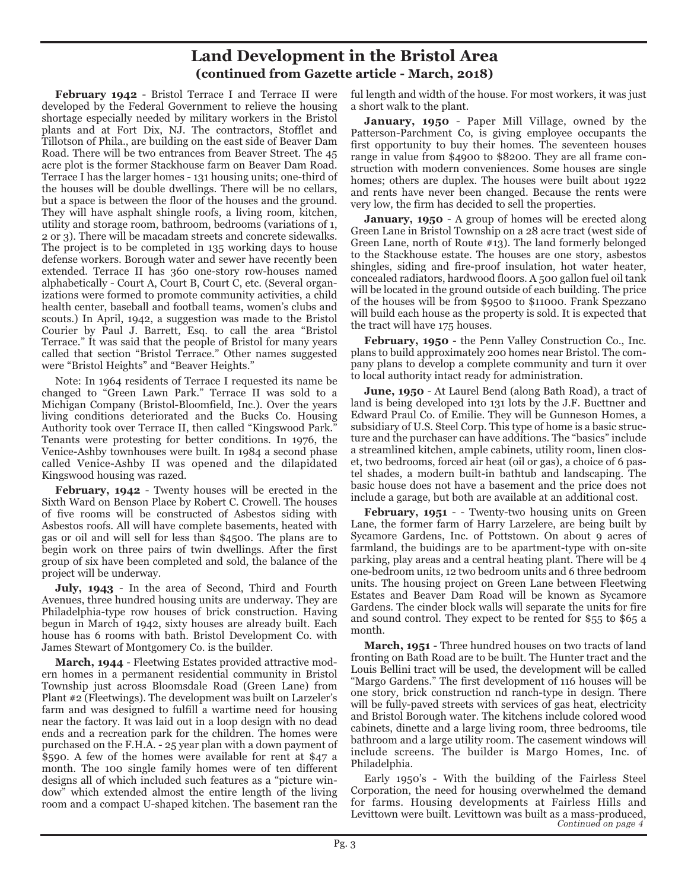### **Land Development in the Bristol Area (continued from Gazette article - March, 2018)**

**February 1942** - Bristol Terrace I and Terrace II were developed by the Federal Government to relieve the housing shortage especially needed by military workers in the Bristol plants and at Fort Dix, NJ. The contractors, Stofflet and Tillotson of Phila., are building on the east side of Beaver Dam Road. There will be two entrances from Beaver Street. The 45 acre plot is the former Stackhouse farm on Beaver Dam Road. Terrace I has the larger homes - 131 housing units; one-third of the houses will be double dwellings. There will be no cellars, but a space is between the floor of the houses and the ground. They will have asphalt shingle roofs, a living room, kitchen, utility and storage room, bathroom, bedrooms (variations of 1, 2 or 3). There will be macadam streets and concrete sidewalks. The project is to be completed in 135 working days to house defense workers. Borough water and sewer have recently been extended. Terrace II has 360 one-story row-houses named alphabetically - Court A, Court B, Court C, etc. (Several organizations were formed to promote community activities, a child health center, baseball and football teams, women's clubs and scouts.) In April, 1942, a suggestion was made to the Bristol Courier by Paul J. Barrett, Esq. to call the area "Bristol Terrace." It was said that the people of Bristol for many years called that section "Bristol Terrace." Other names suggested were "Bristol Heights" and "Beaver Heights."

Note: In 1964 residents of Terrace I requested its name be changed to "Green Lawn Park." Terrace II was sold to a Michigan Company (Bristol-Bloomfield, Inc.). Over the years living conditions deteriorated and the Bucks Co. Housing Authority took over Terrace II, then called "Kingswood Park." Tenants were protesting for better conditions. In 1976, the Venice-Ashby townhouses were built. In 1984 a second phase called Venice-Ashby II was opened and the dilapidated Kingswood housing was razed.

**February, 1942** - Twenty houses will be erected in the Sixth Ward on Benson Place by Robert C. Crowell. The houses of five rooms will be constructed of Asbestos siding with Asbestos roofs. All will have complete basements, heated with gas or oil and will sell for less than \$4500. The plans are to begin work on three pairs of twin dwellings. After the first group of six have been completed and sold, the balance of the project will be underway.

**July, 1943** - In the area of Second, Third and Fourth Avenues, three hundred housing units are underway. They are Philadelphia-type row houses of brick construction. Having begun in March of 1942, sixty houses are already built. Each house has 6 rooms with bath. Bristol Development Co. with James Stewart of Montgomery Co. is the builder.

**March, 1944** - Fleetwing Estates provided attractive modern homes in a permanent residential community in Bristol Township just across Bloomsdale Road (Green Lane) from Plant #2 (Fleetwings). The development was built on Larzeler's farm and was designed to fulfill a wartime need for housing near the factory. It was laid out in a loop design with no dead ends and a recreation park for the children. The homes were purchased on the F.H.A. - 25 year plan with a down payment of \$590. A few of the homes were available for rent at \$47 a month. The 100 single family homes were of ten different designs all of which included such features as a "picture window" which extended almost the entire length of the living room and a compact U-shaped kitchen. The basement ran the

ful length and width of the house. For most workers, it was just a short walk to the plant.

**January, 1950** - Paper Mill Village, owned by the Patterson-Parchment Co, is giving employee occupants the first opportunity to buy their homes. The seventeen houses range in value from \$4900 to \$8200. They are all frame construction with modern conveniences. Some houses are single homes; others are duplex. The houses were built about 1922 and rents have never been changed. Because the rents were very low, the firm has decided to sell the properties.

**January, 1950** - A group of homes will be erected along Green Lane in Bristol Township on a 28 acre tract (west side of Green Lane, north of Route #13). The land formerly belonged to the Stackhouse estate. The houses are one story, asbestos shingles, siding and fire-proof insulation, hot water heater, concealed radiators, hardwood floors. A 500 gallon fuel oil tank will be located in the ground outside of each building. The price of the houses will be from \$9500 to \$11000. Frank Spezzano will build each house as the property is sold. It is expected that the tract will have 175 houses.

**February, 1950** - the Penn Valley Construction Co., Inc. plans to build approximately 200 homes near Bristol. The company plans to develop a complete community and turn it over to local authority intact ready for administration.

**June, 1950** - At Laurel Bend (along Bath Road), a tract of land is being developed into 131 lots by the J.F. Bucttner and Edward Praul Co. of Emilie. They will be Gunneson Homes, a subsidiary of U.S. Steel Corp. This type of home is a basic structure and the purchaser can have additions. The "basics" include a streamlined kitchen, ample cabinets, utility room, linen closet, two bedrooms, forced air heat (oil or gas), a choice of 6 pastel shades, a modern built-in bathtub and landscaping. The basic house does not have a basement and the price does not include a garage, but both are available at an additional cost.

**February, 1951** - - Twenty-two housing units on Green Lane, the former farm of Harry Larzelere, are being built by Sycamore Gardens, Inc. of Pottstown. On about 9 acres of farmland, the buidings are to be apartment-type with on-site parking, play areas and a central heating plant. There will be 4 one-bedroom units, 12 two bedroom units and 6 three bedroom units. The housing project on Green Lane between Fleetwing Estates and Beaver Dam Road will be known as Sycamore Gardens. The cinder block walls will separate the units for fire and sound control. They expect to be rented for \$55 to \$65 a month.

**March, 1951** - Three hundred houses on two tracts of land fronting on Bath Road are to be built. The Hunter tract and the Louis Bellini tract will be used, the development will be called "Margo Gardens." The first development of 116 houses will be one story, brick construction nd ranch-type in design. There will be fully-paved streets with services of gas heat, electricity and Bristol Borough water. The kitchens include colored wood cabinets, dinette and a large living room, three bedrooms, tile bathroom and a large utility room. The casement windows will include screens. The builder is Margo Homes, Inc. of Philadelphia.

Early 1950's - With the building of the Fairless Steel Corporation, the need for housing overwhelmed the demand for farms. Housing developments at Fairless Hills and Levittown were built. Levittown was built as a mass-produced,<br>Continued on page 4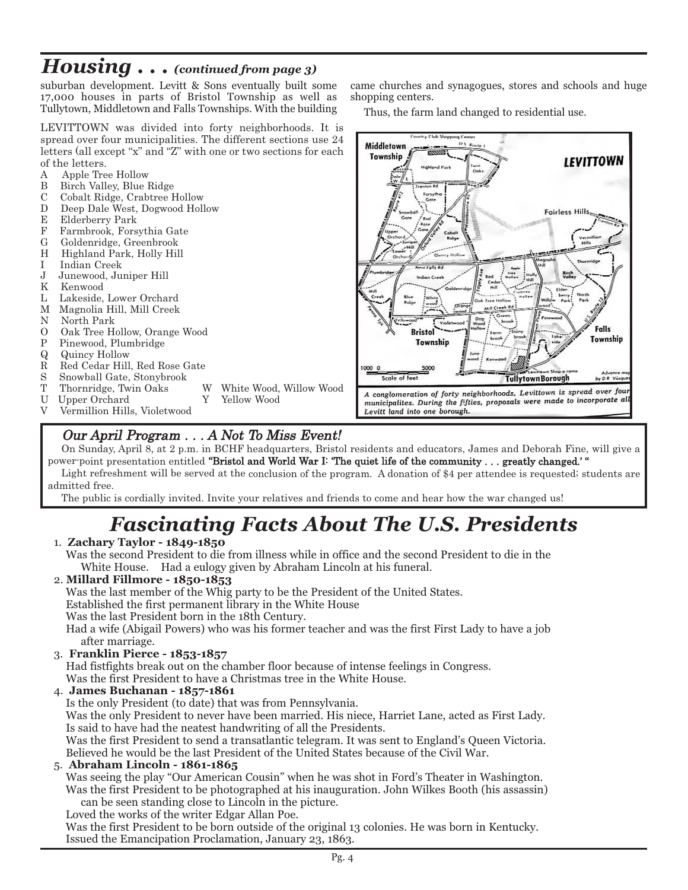# *Housing . . . (continued from page 3)*

suburban development. Levitt & Sons eventually built some 17,000 houses in parts of Bristol Township as well as Tullytown, Middletown and Falls Townships. With the building

LEVITTOWN was divided into forty neighborhoods. It is spread over four municipalities. The different sections use 24 letters (all except "x" and "Z" with one or two sections for each of the letters.

- A Apple Tree Hollow<br>B Birch Valley, Blue I
- B Birch Valley, Blue Ridge<br>C Cobalt Ridge, Crabtree B
- Cobalt Ridge, Crabtree Hollow
- D Deep Dale West, Dogwood Hollow
- E Elderberry Park
- F Farmbrook, Forsythia Gate
- G Goldenridge, Greenbrook
- H Highland Park, Holly Hill<br>I Indian Creek
- Indian Creek
- J Junewood, Juniper Hill
- K Kenwood
- L Lakeside, Lower Orchard
- M Magnolia Hill, Mill Creek
- N North Park<br>O Oak Tree He
- Oak Tree Hollow, Orange Wood
- P Pinewood, Plumbridge
- Q Quincy Hollow
- Red Cedar Hill, Red Rose Gate
- S Snowball Gate, Stonybrook<br>T Thornridge, Twin Oaks
- 
- Upper Orchard Y Yellow Wood
- V Vermillion Hills, Violetwood
- T Thornridge, Twin Oaks W White Wood, Willow Wood<br>U Upper Orchard Y Yellow Wood
	-

came churches and synagogues, stores and schools and huge shopping centers.

Thus, the farm land changed to residential use.



## Our April Program . . . A Not To Miss Event!

On Sunday, April 8, at 2 p.m. in BCHF headquarters, Bristol residents and educators, James and Deborah Fine, will give <sup>a</sup> power-point presentation entitled "Bristol and World War I: 'The quiet life of the community . . . greatly changed.' " Light refreshment will be served at the conclusion of the program. A donation of \$4 per attendee is requested; students are admitted free.

The public is cordially invited. Invite your relatives and friends to come and hear how the war changed us!

# *Fascinating Facts About The U.S. Presidents*

### 1. **Zachary Taylor - 1849-1850**

Was the second President to die from illness while in office and the second President to die in the White House. Had a eulogy given by Abraham Lincoln at his funeral.

### 2. **Millard Fillmore - 1850-1853**

Was the last member of the Whig party to be the President of the United States.

Established the first permanent library in the White House

Was the last President born in the 18th Century.

Had a wife (Abigail Powers) who was his former teacher and was the first First Lady to have a job after marriage.

### 3. **Franklin Pierce - 1853-1857**

Had fistfights break out on the chamber floor because of intense feelings in Congress.

Was the first President to have a Christmas tree in the White House.

### 4. **James Buchanan - 1857-1861**

Is the only President (to date) that was from Pennsylvania.

Was the only President to never have been married. His niece, Harriet Lane, acted as First Lady. Is said to have had the neatest handwriting of all the Presidents.

Was the first President to send a transatlantic telegram. It was sent to England's Queen Victoria. Believed he would be the last President of the United States because of the Civil War.

### 5. **Abraham Lincoln - 1861-1865**

Was seeing the play "Our American Cousin" when he was shot in Ford's Theater in Washington. Was the first President to be photographed at his inauguration. John Wilkes Booth (his assassin) can be seen standing close to Lincoln in the picture.

Loved the works of the writer Edgar Allan Poe.

Was the first President to be born outside of the original 13 colonies. He was born in Kentucky. Issued the Emancipation Proclamation, January 23, 1863.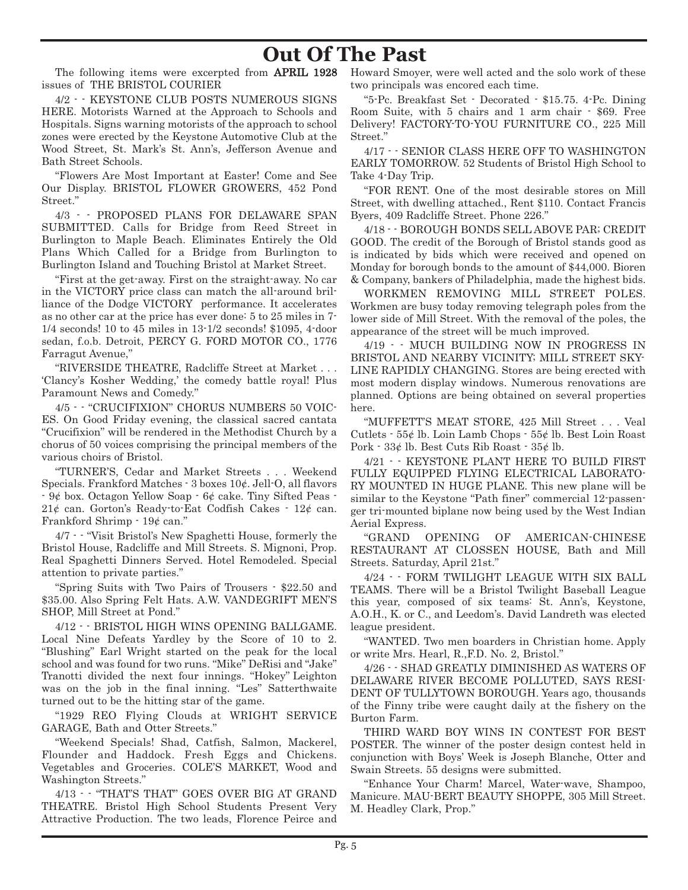# **Out Of The Past**

The following items were excerpted from APRIL 1928 issues of THE BRISTOL COURIER

4/2 - - KEYSTONE CLUB POSTS NUMEROUS SIGNS HERE. Motorists Warned at the Approach to Schools and Hospitals. Signs warning motorists of the approach to school zones were erected by the Keystone Automotive Club at the Wood Street, St. Mark's St. Ann's, Jefferson Avenue and Bath Street Schools.

"Flowers Are Most Important at Easter! Come and See Our Display. BRISTOL FLOWER GROWERS, 452 Pond Street."

4/3 - - PROPOSED PLANS FOR DELAWARE SPAN SUBMITTED. Calls for Bridge from Reed Street in Burlington to Maple Beach. Eliminates Entirely the Old Plans Which Called for a Bridge from Burlington to Burlington Island and Touching Bristol at Market Street.

"First at the get-away. First on the straight-away. No car in the VICTORY price class can match the all-around brilliance of the Dodge VICTORY performance. It accelerates as no other car at the price has ever done: 5 to 25 miles in 7- 1/4 seconds! 10 to 45 miles in 13-1/2 seconds! \$1095, 4-door sedan, f.o.b. Detroit, PERCY G. FORD MOTOR CO., 1776 Farragut Avenue,"

"RIVERSIDE THEATRE, Radcliffe Street at Market . . . 'Clancy's Kosher Wedding,' the comedy battle royal! Plus Paramount News and Comedy."

4/5 - - "CRUCIFIXION" CHORUS NUMBERS 50 VOIC-ES. On Good Friday evening, the classical sacred cantata "Crucifixion" will be rendered in the Methodist Church by a chorus of 50 voices comprising the principal members of the various choirs of Bristol.

"TURNER'S, Cedar and Market Streets . . . Weekend Specials. Frankford Matches - 3 boxes 10¢. Jell-O, all flavors - 9¢ box. Octagon Yellow Soap - 6¢ cake. Tiny Sifted Peas -  $21¢$  can. Gorton's Ready-to-Eat Codfish Cakes  $\cdot$  12 $¢$  can. Frankford Shrimp - 19¢ can."

4/7 - - "Visit Bristol's New Spaghetti House, formerly the Bristol House, Radcliffe and Mill Streets. S. Mignoni, Prop. Real Spaghetti Dinners Served. Hotel Remodeled. Special attention to private parties."

"Spring Suits with Two Pairs of Trousers - \$22.50 and \$35.00. Also Spring Felt Hats. A.W. VANDEGRIFT MEN'S SHOP, Mill Street at Pond."

4/12 - - BRISTOL HIGH WINS OPENING BALLGAME. Local Nine Defeats Yardley by the Score of 10 to 2. "Blushing" Earl Wright started on the peak for the local school and was found for two runs. "Mike" DeRisi and "Jake" Tranotti divided the next four innings. "Hokey" Leighton was on the job in the final inning. "Les" Satterthwaite turned out to be the hitting star of the game.

"1929 REO Flying Clouds at WRIGHT SERVICE GARAGE, Bath and Otter Streets."

"Weekend Specials! Shad, Catfish, Salmon, Mackerel, Flounder and Haddock. Fresh Eggs and Chickens. Vegetables and Groceries. COLE'S MARKET, Wood and Washington Streets."

4/13 - - "THAT'S THAT" GOES OVER BIG AT GRAND THEATRE. Bristol High School Students Present Very Attractive Production. The two leads, Florence Peirce and Howard Smoyer, were well acted and the solo work of these two principals was encored each time.

"5-Pc. Breakfast Set - Decorated - \$15.75. 4-Pc. Dining Room Suite, with 5 chairs and 1 arm chair - \$69. Free Delivery! FACTORY-TO-YOU FURNITURE CO., 225 Mill Street."

4/17 - - SENIOR CLASS HERE OFF TO WASHINGTON EARLY TOMORROW. 52 Students of Bristol High School to Take 4-Day Trip.

"FOR RENT. One of the most desirable stores on Mill Street, with dwelling attached., Rent \$110. Contact Francis Byers, 409 Radcliffe Street. Phone 226."

4/18 - - BOROUGH BONDS SELL ABOVE PAR; CREDIT GOOD. The credit of the Borough of Bristol stands good as is indicated by bids which were received and opened on Monday for borough bonds to the amount of \$44,000. Bioren & Company, bankers of Philadelphia, made the highest bids.

WORKMEN REMOVING MILL STREET POLES. Workmen are busy today removing telegraph poles from the lower side of Mill Street. With the removal of the poles, the appearance of the street will be much improved.

4/19 - - MUCH BUILDING NOW IN PROGRESS IN BRISTOL AND NEARBY VICINITY; MILL STREET SKY-LINE RAPIDLY CHANGING. Stores are being erected with most modern display windows. Numerous renovations are planned. Options are being obtained on several properties here.

"MUFFETT'S MEAT STORE, 425 Mill Street . . . Veal Cutlets - 55¢ lb. Loin Lamb Chops - 55¢ lb. Best Loin Roast Pork - 33¢ lb. Best Cuts Rib Roast - 35¢ lb.

4/21 - - KEYSTONE PLANT HERE TO BUILD FIRST FULLY EQUIPPED FLYING ELECTRICAL LABORATO-RY MOUNTED IN HUGE PLANE. This new plane will be similar to the Keystone "Path finer" commercial 12-passenger tri-mounted biplane now being used by the West Indian Aerial Express.

"GRAND OPENING OF AMERICAN-CHINESE RESTAURANT AT CLOSSEN HOUSE, Bath and Mill Streets. Saturday, April 21st."

4/24 - - FORM TWILIGHT LEAGUE WITH SIX BALL TEAMS. There will be a Bristol Twilight Baseball League this year, composed of six teams: St. Ann's, Keystone, A.O.H., K. or C., and Leedom's. David Landreth was elected league president.

"WANTED. Two men boarders in Christian home. Apply or write Mrs. Hearl, R.,F.D. No. 2, Bristol."

4/26 - - SHAD GREATLY DIMINISHED AS WATERS OF DELAWARE RIVER BECOME POLLUTED, SAYS RESI-DENT OF TULLYTOWN BOROUGH. Years ago, thousands of the Finny tribe were caught daily at the fishery on the Burton Farm.

THIRD WARD BOY WINS IN CONTEST FOR BEST POSTER. The winner of the poster design contest held in conjunction with Boys' Week is Joseph Blanche, Otter and Swain Streets. 55 designs were submitted.

"Enhance Your Charm! Marcel, Water-wave, Shampoo, Manicure. MAU-BERT BEAUTY SHOPPE, 305 Mill Street. M. Headley Clark, Prop."